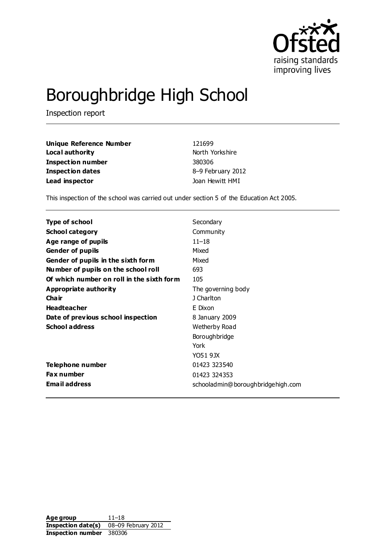

# Boroughbridge High School

Inspection report

| Unique Reference Number | 121699            |  |
|-------------------------|-------------------|--|
| Local authority         | North Yorkshire   |  |
| Inspection number       | 380306            |  |
| <b>Inspection dates</b> | 8-9 February 2012 |  |
| Lead inspector          | Joan Hewitt HMI   |  |

This inspection of the school was carried out under section 5 of the Education Act 2005.

| Type of school                            | Secondary                         |
|-------------------------------------------|-----------------------------------|
| <b>School category</b>                    | Community                         |
| Age range of pupils                       | $11 - 18$                         |
| <b>Gender of pupils</b>                   | Mixed                             |
| Gender of pupils in the sixth form        | Mixed                             |
| Number of pupils on the school roll       | 693                               |
| Of which number on roll in the sixth form | 105                               |
| Appropriate authority                     | The governing body                |
| Cha ir                                    | J Charlton                        |
| <b>Headteacher</b>                        | E Dixon                           |
| Date of previous school inspection        | 8 January 2009                    |
| <b>School address</b>                     | Wetherby Road                     |
|                                           | Boroughbridge                     |
|                                           | York                              |
|                                           | YO51 9JX                          |
| Telephone number                          | 01423 323540                      |
| <b>Fax number</b>                         | 01423 324353                      |
| <b>Email address</b>                      | schooladmin@boroughbridgehigh.com |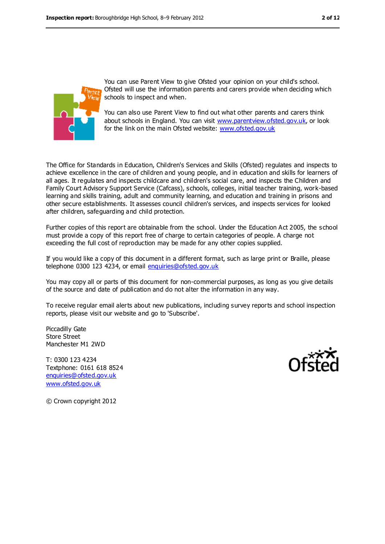

You can use Parent View to give Ofsted your opinion on your child's school. Ofsted will use the information parents and carers provide when deciding which schools to inspect and when.

You can also use Parent View to find out what other parents and carers think about schools in England. You can visit [www.parentview.ofsted.gov.uk,](../../../bmcintosh/Users/jhewitt/AppData/Local/Microsoft/Windows/Temporary%20Internet%20Files/Content.IE5/B9MX3V6B/www.parentview.ofsted.gov.uk) or look for the link on the main Ofsted website: [www.ofsted.gov.uk](../../../bmcintosh/Users/jhewitt/AppData/Local/Microsoft/Windows/Temporary%20Internet%20Files/Content.IE5/B9MX3V6B/www.ofsted.gov.uk)

The Office for Standards in Education, Children's Services and Skills (Ofsted) regulates and inspects to achieve excellence in the care of children and young people, and in education and skills for learners of all ages. It regulates and inspects childcare and children's social care, and inspects the Children and Family Court Advisory Support Service (Cafcass), schools, colleges, initial teacher training, work-based learning and skills training, adult and community learning, and education and training in prisons and other secure establishments. It assesses council children's services, and inspects services for looked after children, safeguarding and child protection.

Further copies of this report are obtainable from the school. Under the Education Act 2005, the school must provide a copy of this report free of charge to certain categories of people. A charge not exceeding the full cost of reproduction may be made for any other copies supplied.

If you would like a copy of this document in a different format, such as large print or Braille, please telephone 0300 123 4234, or email [enquiries@ofsted.gov.uk](mailto:enquiries@ofsted.gov.uk)

You may copy all or parts of this document for non-commercial purposes, as long as you give details of the source and date of publication and do not alter the information in any way.

To receive regular email alerts about new publications, including survey reports and school inspection reports, please visit our website and go to 'Subscribe'.

Piccadilly Gate Store Street Manchester M1 2WD

T: 0300 123 4234 Textphone: 0161 618 8524 [enquiries@ofsted.gov.uk](mailto:enquiries@ofsted.gov.uk) [www.ofsted.gov.uk](http://www.ofsted.gov.uk/)



© Crown copyright 2012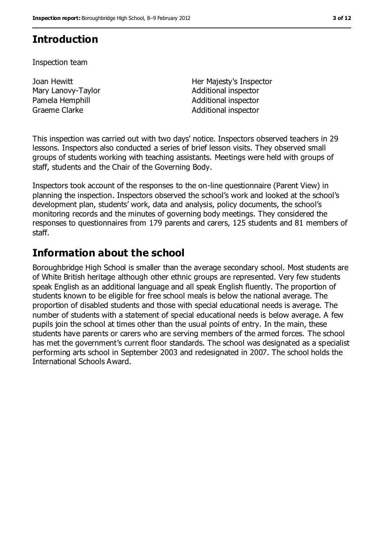# **Introduction**

Inspection team

Joan Hewitt Mary Lanovy-Taylor Pamela Hemphill **Pamela Hemphill** Additional inspector Graeme Clarke **Additional inspector** Additional inspector

Her Majesty's Inspector Additional inspector

This inspection was carried out with two days' notice. Inspectors observed teachers in 29 lessons. Inspectors also conducted a series of brief lesson visits. They observed small groups of students working with teaching assistants. Meetings were held with groups of staff, students and the Chair of the Governing Body.

Inspectors took account of the responses to the on-line questionnaire (Parent View) in planning the inspection. Inspectors observed the school's work and looked at the school's development plan, students' work, data and analysis, policy documents, the school's monitoring records and the minutes of governing body meetings. They considered the responses to questionnaires from 179 parents and carers, 125 students and 81 members of staff.

## **Information about the school**

Boroughbridge High School is smaller than the average secondary school. Most students are of White British heritage although other ethnic groups are represented. Very few students speak English as an additional language and all speak English fluently. The proportion of students known to be eligible for free school meals is below the national average. The proportion of disabled students and those with special educational needs is average. The number of students with a statement of special educational needs is below average. A few pupils join the school at times other than the usual points of entry. In the main, these students have parents or carers who are serving members of the armed forces. The school has met the government's current floor standards. The school was designated as a specialist performing arts school in September 2003 and redesignated in 2007. The school holds the International Schools Award.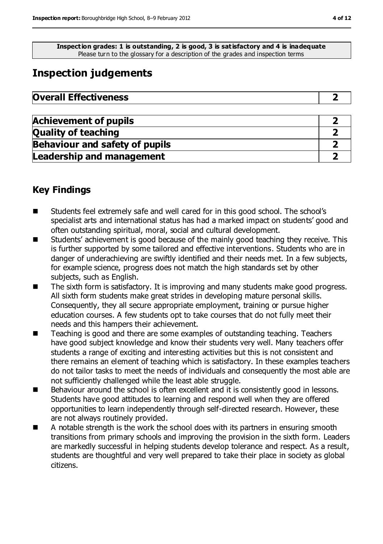**Inspection grades: 1 is outstanding, 2 is good, 3 is satisfactory and 4 is inadequate** Please turn to the glossary for a description of the grades and inspection terms

# **Inspection judgements**

| <b>Overall Effectiveness</b> |  |
|------------------------------|--|
|------------------------------|--|

| <b>Achievement of pupils</b>          |  |
|---------------------------------------|--|
| <b>Quality of teaching</b>            |  |
| <b>Behaviour and safety of pupils</b> |  |
| <b>Leadership and management</b>      |  |

## **Key Findings**

- Students feel extremely safe and well cared for in this good school. The school's specialist arts and international status has had a marked impact on students' good and often outstanding spiritual, moral, social and cultural development.
- Students' achievement is good because of the mainly good teaching they receive. This is further supported by some tailored and effective interventions. Students who are in danger of underachieving are swiftly identified and their needs met. In a few subjects, for example science, progress does not match the high standards set by other subjects, such as English.
- The sixth form is satisfactory. It is improving and many students make good progress. All sixth form students make great strides in developing mature personal skills. Consequently, they all secure appropriate employment, training or pursue higher education courses. A few students opt to take courses that do not fully meet their needs and this hampers their achievement.
- Teaching is good and there are some examples of outstanding teaching. Teachers have good subject knowledge and know their students very well. Many teachers offer students a range of exciting and interesting activities but this is not consistent and there remains an element of teaching which is satisfactory. In these examples teachers do not tailor tasks to meet the needs of individuals and consequently the most able are not sufficiently challenged while the least able struggle.
- Behaviour around the school is often excellent and it is consistently good in lessons. Students have good attitudes to learning and respond well when they are offered opportunities to learn independently through self-directed research. However, these are not always routinely provided.
- A notable strength is the work the school does with its partners in ensuring smooth transitions from primary schools and improving the provision in the sixth form. Leaders are markedly successful in helping students develop tolerance and respect. As a result, students are thoughtful and very well prepared to take their place in society as global citizens.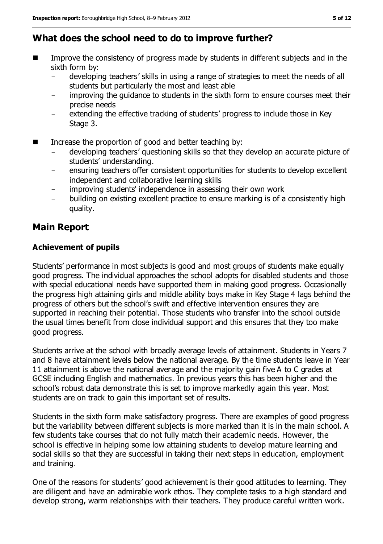## **What does the school need to do to improve further?**

- Improve the consistency of progress made by students in different subjects and in the sixth form by:
	- developing teachers' skills in using a range of strategies to meet the needs of all students but particularly the most and least able
	- improving the guidance to students in the sixth form to ensure courses meet their precise needs
	- extending the effective tracking of students' progress to include those in Key Stage 3.
- Increase the proportion of good and better teaching by:
	- developing teachers' questioning skills so that they develop an accurate picture of students' understanding.
	- ensuring teachers offer consistent opportunities for students to develop excellent independent and collaborative learning skills
	- improving students' independence in assessing their own work
	- building on existing excellent practice to ensure marking is of a consistently high quality.

## **Main Report**

#### **Achievement of pupils**

Students' performance in most subjects is good and most groups of students make equally good progress. The individual approaches the school adopts for disabled students and those with special educational needs have supported them in making good progress. Occasionally the progress high attaining girls and middle ability boys make in Key Stage 4 lags behind the progress of others but the school's swift and effective intervention ensures they are supported in reaching their potential. Those students who transfer into the school outside the usual times benefit from close individual support and this ensures that they too make good progress.

Students arrive at the school with broadly average levels of attainment. Students in Years 7 and 8 have attainment levels below the national average. By the time students leave in Year 11 attainment is above the national average and the majority gain five A to C grades at GCSE including English and mathematics. In previous years this has been higher and the school's robust data demonstrate this is set to improve markedly again this year. Most students are on track to gain this important set of results.

Students in the sixth form make satisfactory progress. There are examples of good progress but the variability between different subjects is more marked than it is in the main school. A few students take courses that do not fully match their academic needs. However, the school is effective in helping some low attaining students to develop mature learning and social skills so that they are successful in taking their next steps in education, employment and training.

One of the reasons for students' good achievement is their good attitudes to learning. They are diligent and have an admirable work ethos. They complete tasks to a high standard and develop strong, warm relationships with their teachers. They produce careful written work.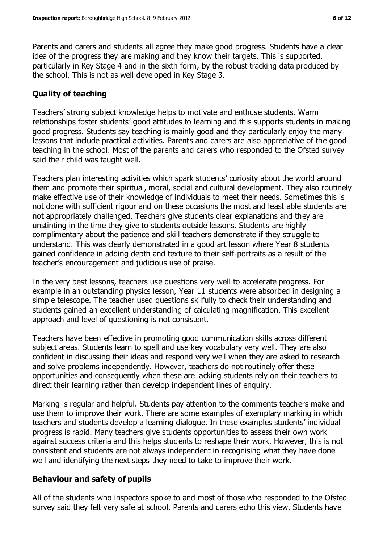Parents and carers and students all agree they make good progress. Students have a clear idea of the progress they are making and they know their targets. This is supported, particularly in Key Stage 4 and in the sixth form, by the robust tracking data produced by the school. This is not as well developed in Key Stage 3.

#### **Quality of teaching**

Teachers' strong subject knowledge helps to motivate and enthuse students. Warm relationships foster students' good attitudes to learning and this supports students in making good progress. Students say teaching is mainly good and they particularly enjoy the many lessons that include practical activities. Parents and carers are also appreciative of the good teaching in the school. Most of the parents and carers who responded to the Ofsted survey said their child was taught well.

Teachers plan interesting activities which spark students' curiosity about the world around them and promote their spiritual, moral, social and cultural development. They also routinely make effective use of their knowledge of individuals to meet their needs. Sometimes this is not done with sufficient rigour and on these occasions the most and least able students are not appropriately challenged. Teachers give students clear explanations and they are unstinting in the time they give to students outside lessons. Students are highly complimentary about the patience and skill teachers demonstrate if they struggle to understand. This was clearly demonstrated in a good art lesson where Year 8 students gained confidence in adding depth and texture to their self-portraits as a result of the teacher's encouragement and judicious use of praise.

In the very best lessons, teachers use questions very well to accelerate progress. For example in an outstanding physics lesson, Year 11 students were absorbed in designing a simple telescope. The teacher used questions skilfully to check their understanding and students gained an excellent understanding of calculating magnification. This excellent approach and level of questioning is not consistent.

Teachers have been effective in promoting good communication skills across different subject areas. Students learn to spell and use key vocabulary very well. They are also confident in discussing their ideas and respond very well when they are asked to research and solve problems independently. However, teachers do not routinely offer these opportunities and consequently when these are lacking students rely on their teachers to direct their learning rather than develop independent lines of enquiry.

Marking is regular and helpful. Students pay attention to the comments teachers make and use them to improve their work. There are some examples of exemplary marking in which teachers and students develop a learning dialogue. In these examples students' individual progress is rapid. Many teachers give students opportunities to assess their own work against success criteria and this helps students to reshape their work. However, this is not consistent and students are not always independent in recognising what they have done well and identifying the next steps they need to take to improve their work.

#### **Behaviour and safety of pupils**

All of the students who inspectors spoke to and most of those who responded to the Ofsted survey said they felt very safe at school. Parents and carers echo this view. Students have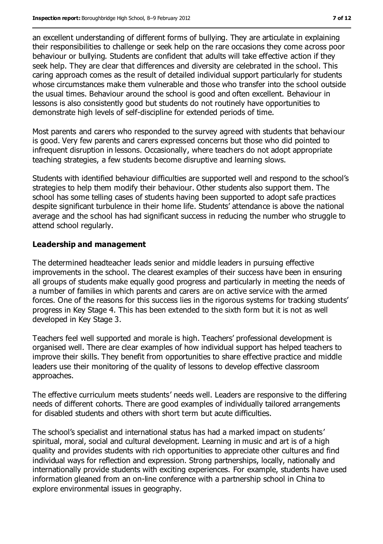an excellent understanding of different forms of bullying. They are articulate in explaining their responsibilities to challenge or seek help on the rare occasions they come across poor behaviour or bullying. Students are confident that adults will take effective action if they seek help. They are clear that differences and diversity are celebrated in the school. This caring approach comes as the result of detailed individual support particularly for students whose circumstances make them vulnerable and those who transfer into the school outside the usual times. Behaviour around the school is good and often excellent. Behaviour in lessons is also consistently good but students do not routinely have opportunities to demonstrate high levels of self-discipline for extended periods of time.

Most parents and carers who responded to the survey agreed with students that behaviour is good. Very few parents and carers expressed concerns but those who did pointed to infrequent disruption in lessons. Occasionally, where teachers do not adopt appropriate teaching strategies, a few students become disruptive and learning slows.

Students with identified behaviour difficulties are supported well and respond to the school's strategies to help them modify their behaviour. Other students also support them. The school has some telling cases of students having been supported to adopt safe practices despite significant turbulence in their home life. Students' attendance is above the national average and the school has had significant success in reducing the number who struggle to attend school regularly.

#### **Leadership and management**

The determined headteacher leads senior and middle leaders in pursuing effective improvements in the school. The clearest examples of their success have been in ensuring all groups of students make equally good progress and particularly in meeting the needs of a number of families in which parents and carers are on active service with the armed forces. One of the reasons for this success lies in the rigorous systems for tracking students' progress in Key Stage 4. This has been extended to the sixth form but it is not as well developed in Key Stage 3.

Teachers feel well supported and morale is high. Teachers' professional development is organised well. There are clear examples of how individual support has helped teachers to improve their skills. They benefit from opportunities to share effective practice and middle leaders use their monitoring of the quality of lessons to develop effective classroom approaches.

The effective curriculum meets students' needs well. Leaders are responsive to the differing needs of different cohorts. There are good examples of individually tailored arrangements for disabled students and others with short term but acute difficulties.

The school's specialist and international status has had a marked impact on students' spiritual, moral, social and cultural development. Learning in music and art is of a high quality and provides students with rich opportunities to appreciate other cultures and find individual ways for reflection and expression. Strong partnerships, locally, nationally and internationally provide students with exciting experiences. For example, students have used information gleaned from an on-line conference with a partnership school in China to explore environmental issues in geography.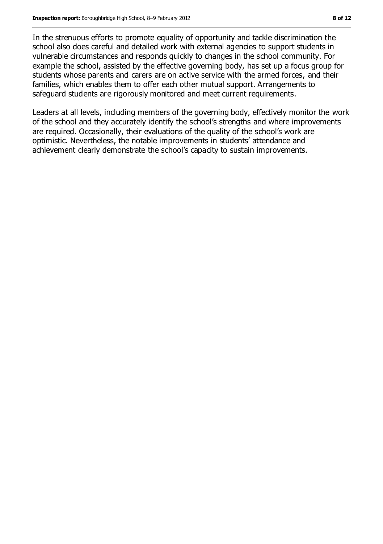In the strenuous efforts to promote equality of opportunity and tackle discrimination the school also does careful and detailed work with external agencies to support students in vulnerable circumstances and responds quickly to changes in the school community. For example the school, assisted by the effective governing body, has set up a focus group for students whose parents and carers are on active service with the armed forces, and their families, which enables them to offer each other mutual support. Arrangements to safeguard students are rigorously monitored and meet current requirements.

Leaders at all levels, including members of the governing body, effectively monitor the work of the school and they accurately identify the school's strengths and where improvements are required. Occasionally, their evaluations of the quality of the school's work are optimistic. Nevertheless, the notable improvements in students' attendance and achievement clearly demonstrate the school's capacity to sustain improvements.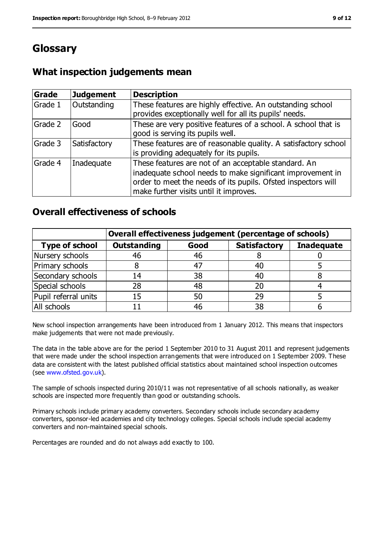# **Glossary**

### **What inspection judgements mean**

| Grade   | <b>Judgement</b> | <b>Description</b>                                                                                                                                                                                                            |
|---------|------------------|-------------------------------------------------------------------------------------------------------------------------------------------------------------------------------------------------------------------------------|
| Grade 1 | Outstanding      | These features are highly effective. An outstanding school<br>provides exceptionally well for all its pupils' needs.                                                                                                          |
| Grade 2 | Good             | These are very positive features of a school. A school that is<br>good is serving its pupils well.                                                                                                                            |
| Grade 3 | Satisfactory     | These features are of reasonable quality. A satisfactory school<br>is providing adequately for its pupils.                                                                                                                    |
| Grade 4 | Inadequate       | These features are not of an acceptable standard. An<br>inadequate school needs to make significant improvement in<br>order to meet the needs of its pupils. Ofsted inspectors will<br>make further visits until it improves. |

#### **Overall effectiveness of schools**

|                       | Overall effectiveness judgement (percentage of schools) |      |                     |                   |
|-----------------------|---------------------------------------------------------|------|---------------------|-------------------|
| <b>Type of school</b> | <b>Outstanding</b>                                      | Good | <b>Satisfactory</b> | <b>Inadequate</b> |
| Nursery schools       | 46                                                      | 46   |                     |                   |
| Primary schools       |                                                         | 47   | 40                  |                   |
| Secondary schools     | 14                                                      | 38   | 40                  |                   |
| Special schools       | 28                                                      | 48   | 20                  |                   |
| Pupil referral units  | 15                                                      | 50   | 29                  |                   |
| All schools           |                                                         | 46   | 38                  |                   |

New school inspection arrangements have been introduced from 1 January 2012. This means that inspectors make judgements that were not made previously.

The data in the table above are for the period 1 September 2010 to 31 August 2011 and represent judgements that were made under the school inspection arrangements that were introduced on 1 September 2009. These data are consistent with the latest published official statistics about maintained school inspection outcomes (see [www.ofsted.gov.uk\)](../../../bmcintosh/Users/jhewitt/AppData/Local/Microsoft/Windows/Temporary%20Internet%20Files/Content.IE5/B9MX3V6B/www.ofsted.gov.uk).

The sample of schools inspected during 2010/11 was not representative of all schools nationally, as weaker schools are inspected more frequently than good or outstanding schools.

Primary schools include primary academy converters. Secondary schools include secondary academy converters, sponsor-led academies and city technology colleges. Special schools include special academy converters and non-maintained special schools.

Percentages are rounded and do not always add exactly to 100.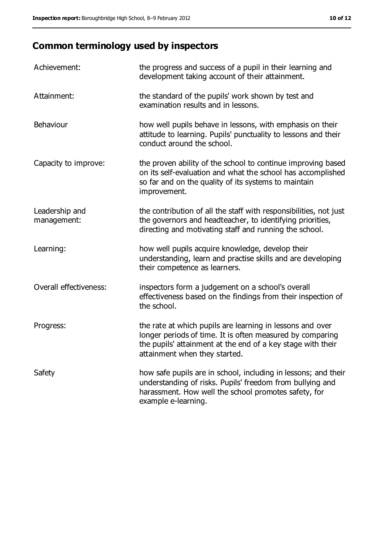# **Common terminology used by inspectors**

| Achievement:                  | the progress and success of a pupil in their learning and<br>development taking account of their attainment.                                                                                                           |
|-------------------------------|------------------------------------------------------------------------------------------------------------------------------------------------------------------------------------------------------------------------|
| Attainment:                   | the standard of the pupils' work shown by test and<br>examination results and in lessons.                                                                                                                              |
| Behaviour                     | how well pupils behave in lessons, with emphasis on their<br>attitude to learning. Pupils' punctuality to lessons and their<br>conduct around the school.                                                              |
| Capacity to improve:          | the proven ability of the school to continue improving based<br>on its self-evaluation and what the school has accomplished<br>so far and on the quality of its systems to maintain<br>improvement.                    |
| Leadership and<br>management: | the contribution of all the staff with responsibilities, not just<br>the governors and headteacher, to identifying priorities,<br>directing and motivating staff and running the school.                               |
| Learning:                     | how well pupils acquire knowledge, develop their<br>understanding, learn and practise skills and are developing<br>their competence as learners.                                                                       |
| Overall effectiveness:        | inspectors form a judgement on a school's overall<br>effectiveness based on the findings from their inspection of<br>the school.                                                                                       |
| Progress:                     | the rate at which pupils are learning in lessons and over<br>longer periods of time. It is often measured by comparing<br>the pupils' attainment at the end of a key stage with their<br>attainment when they started. |
| Safety                        | how safe pupils are in school, including in lessons; and their<br>understanding of risks. Pupils' freedom from bullying and<br>harassment. How well the school promotes safety, for<br>example e-learning.             |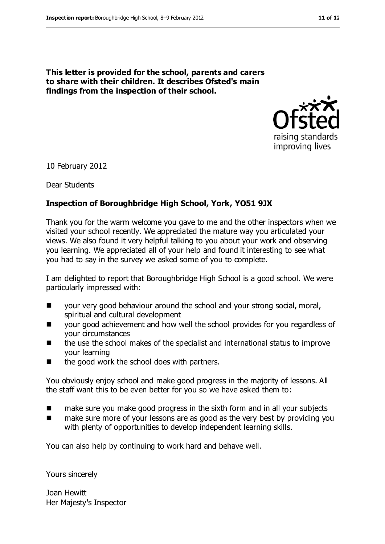**This letter is provided for the school, parents and carers to share with their children. It describes Ofsted's main findings from the inspection of their school.**



10 February 2012

Dear Students

#### **Inspection of Boroughbridge High School, York, YO51 9JX**

Thank you for the warm welcome you gave to me and the other inspectors when we visited your school recently. We appreciated the mature way you articulated your views. We also found it very helpful talking to you about your work and observing you learning. We appreciated all of your help and found it interesting to see what you had to say in the survey we asked some of you to complete.

I am delighted to report that Boroughbridge High School is a good school. We were particularly impressed with:

- your very good behaviour around the school and your strong social, moral, spiritual and cultural development
- your good achievement and how well the school provides for you regardless of your circumstances
- the use the school makes of the specialist and international status to improve your learning
- the good work the school does with partners.

You obviously enjoy school and make good progress in the majority of lessons. All the staff want this to be even better for you so we have asked them to:

- make sure you make good progress in the sixth form and in all your subjects
- make sure more of your lessons are as good as the very best by providing you with plenty of opportunities to develop independent learning skills.

You can also help by continuing to work hard and behave well.

Yours sincerely

Joan Hewitt Her Majesty's Inspector